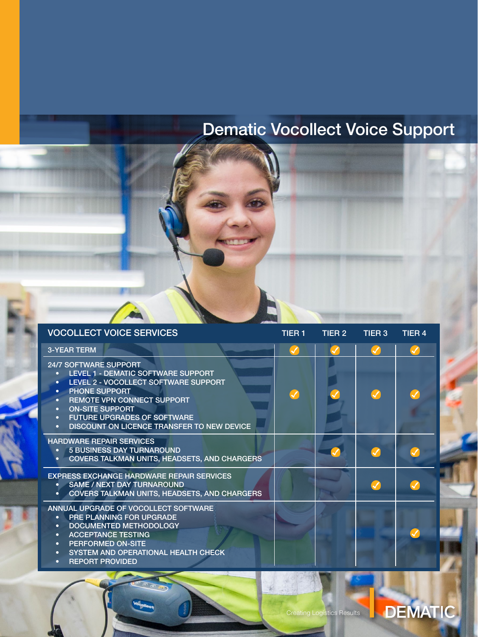# Dematic Vocollect Voice Support

| <b>VOCOLLECT VOICE SERVICES</b>                                                                                                                                                                                                                                                                                                                                                  | <b>TIER 1</b> | TIER 2 | TIER 3 | TIER <sub>4</sub> |
|----------------------------------------------------------------------------------------------------------------------------------------------------------------------------------------------------------------------------------------------------------------------------------------------------------------------------------------------------------------------------------|---------------|--------|--------|-------------------|
| <b>3-YEAR TERM</b>                                                                                                                                                                                                                                                                                                                                                               |               |        |        |                   |
| <b>24/7 SOFTWARE SUPPORT</b><br>LEVEL 1 - DEMATIC SOFTWARE SUPPORT<br>$\bullet$<br>LEVEL 2 - VOCOLLECT SOFTWARE SUPPORT<br>$\bullet$<br><b>PHONE SUPPORT</b><br>$\bullet$<br><b>REMOTE VPN CONNECT SUPPORT</b><br>$\bullet$<br><b>ON-SITE SUPPORT</b><br>$\bullet$<br><b>FUTURE UPGRADES OF SOFTWARE</b><br>$\bullet$<br>DISCOUNT ON LICENCE TRANSFER TO NEW DEVICE<br>$\bullet$ |               |        |        |                   |
| <b>HARDWARE REPAIR SERVICES</b><br>5 BUSINESS DAY TURNAROUND<br><b>COVERS TALKMAN UNITS, HEADSETS, AND CHARGERS</b>                                                                                                                                                                                                                                                              |               |        |        |                   |
| <b>EXPRESS EXCHANGE HARDWARE REPAIR SERVICES</b><br><b>SAME / NEXT DAY TURNAROUND</b><br><b>COVERS TALKMAN UNITS, HEADSETS, AND CHARGERS</b><br>٠                                                                                                                                                                                                                                |               |        |        |                   |
| ANNUAL UPGRADE OF VOCOLLECT SOFTWARE<br><b>PRE PLANNING FOR UPGRADE</b><br>$\bullet$<br>DOCUMENTED METHODOLOGY<br>$\bullet$<br><b>ACCEPTANCE TESTING</b><br>$\bullet$<br>PERFORMED ON-SITE<br>$\bullet$<br>SYSTEM AND OPERATIONAL HEALTH CHECK<br>$\bullet$<br><b>REPORT PROVIDED</b><br>$\bullet$                                                                               |               |        |        |                   |

DEMATIC